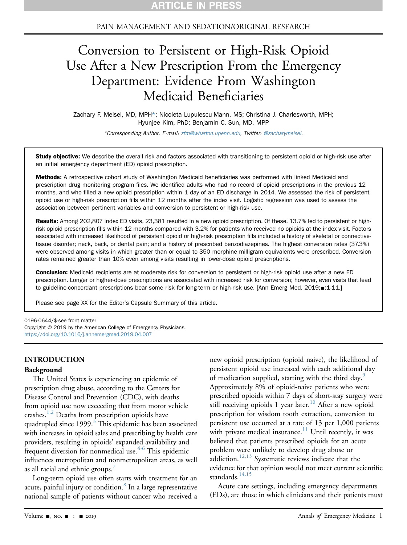# PAIN MANAGEMENT AND SEDATION/ORIGINAL RESEARCH

# Conversion to Persistent or High-Risk Opioid Use After a New Prescription From the Emergency Department: Evidence From Washington Medicaid Beneficiaries

Zachary F. Meisel, MD, MPH\*; Nicoleta Lupulescu-Mann, MS; Christina J. Charlesworth, MPH; Hyunjee Kim, PhD; Benjamin C. Sun, MD, MPP

\*Corresponding Author. E-mail: [zfm@wharton.upenn.edu](mailto:zfm@wharton.upenn.edu), Twitter: [@zacharymeisel](https://twitter.com/zacharymeisel).

Study objective: We describe the overall risk and factors associated with transitioning to persistent opioid or high-risk use after an initial emergency department (ED) opioid prescription.

Methods: A retrospective cohort study of Washington Medicaid beneficiaries was performed with linked Medicaid and prescription drug monitoring program files. We identified adults who had no record of opioid prescriptions in the previous 12 months, and who filled a new opioid prescription within 1 day of an ED discharge in 2014. We assessed the risk of persistent opioid use or high-risk prescription fills within 12 months after the index visit. Logistic regression was used to assess the association between pertinent variables and conversion to persistent or high-risk use.

Results: Among 202,807 index ED visits, 23,381 resulted in a new opioid prescription. Of these, 13.7% led to persistent or highrisk opioid prescription fills within 12 months compared with 3.2% for patients who received no opioids at the index visit. Factors associated with increased likelihood of persistent opioid or high-risk prescription fills included a history of skeletal or connectivetissue disorder; neck, back, or dental pain; and a history of prescribed benzodiazepines. The highest conversion rates (37.3%) were observed among visits in which greater than or equal to 350 morphine milligram equivalents were prescribed. Conversion rates remained greater than 10% even among visits resulting in lower-dose opioid prescriptions.

Conclusion: Medicaid recipients are at moderate risk for conversion to persistent or high-risk opioid use after a new ED prescription. Longer or higher-dose prescriptions are associated with increased risk for conversion; however, even visits that lead to guideline-concordant prescriptions bear some risk for long-term or high-risk use. [Ann Emerg Med. 2019;=:1-11.]

Please see page XX for the Editor's Capsule Summary of this article.

0196-0644/\$-see front matter

Copyright © 2019 by the American College of Emergency Physicians. <https://doi.org/10.1016/j.annemergmed.2019.04.007>

# INTRODUCTION

#### Background

The United States is experiencing an epidemic of prescription drug abuse, according to the Centers for Disease Control and Prevention (CDC), with deaths from opioid use now exceeding that from motor vehicle crashes.<sup>[1,2](#page-8-0)</sup> Deaths from prescription opioids have quadrupled since 1999.<sup>[3](#page-9-0)</sup> This epidemic has been associated with increases in opioid sales and prescribing by health care providers, resulting in opioids' expanded availability and frequent diversion for nonmedical use.<sup>[4-6](#page-9-1)</sup> This epidemic influences metropolitan and nonmetropolitan areas, as well as all racial and ethnic groups.<sup>7</sup>

Long-term opioid use often starts with treatment for an acute, painful injury or condition.<sup>8</sup> In a large representative national sample of patients without cancer who received a

new opioid prescription (opioid naive), the likelihood of persistent opioid use increased with each additional day of medication supplied, starting with the third day.<sup>[9](#page-9-4)</sup> Approximately 8% of opioid-naive patients who were prescribed opioids within 7 days of short-stay surgery were still receiving opioids 1 year later.<sup>[10](#page-9-5)</sup> After a new opioid prescription for wisdom tooth extraction, conversion to persistent use occurred at a rate of 13 per 1,000 patients with private medical insurance. $11$  Until recently, it was believed that patients prescribed opioids for an acute problem were unlikely to develop drug abuse or  $a$ ddiction.<sup>[12,13](#page-9-7)</sup> Systematic reviews indicate that the evidence for that opinion would not meet current scientific standards. $14,15$ 

Acute care settings, including emergency departments (EDs), are those in which clinicians and their patients must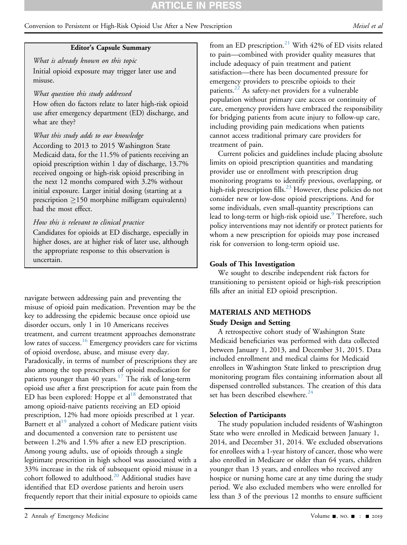# **RTICLE IN PRES**

# Conversion to Persistent or High-Risk Opioid Use After a New Prescription Meisel et al.

## Editor's Capsule Summary

What is already known on this topic Initial opioid exposure may trigger later use and misuse.

## What question this study addressed

How often do factors relate to later high-risk opioid use after emergency department (ED) discharge, and what are they?

# What this study adds to our knowledge

According to 2013 to 2015 Washington State Medicaid data, for the 11.5% of patients receiving an opioid prescription within 1 day of discharge, 13.7% received ongoing or high-risk opioid prescribing in the next 12 months compared with 3.2% without initial exposure. Larger initial dosing (starting at a prescription  $\geq 150$  morphine milligram equivalents) had the most effect.

# How this is relevant to clinical practice

Candidates for opioids at ED discharge, especially in higher doses, are at higher risk of later use, although the appropriate response to this observation is uncertain.

navigate between addressing pain and preventing the misuse of opioid pain medication. Prevention may be the key to addressing the epidemic because once opioid use disorder occurs, only 1 in 10 Americans receives treatment, and current treatment approaches demonstrate low rates of success.<sup>[16](#page-9-9)</sup> Emergency providers care for victims of opioid overdose, abuse, and misuse every day. Paradoxically, in terms of number of prescriptions they are also among the top prescribers of opioid medication for patients younger than 40 years.<sup>17</sup> The risk of long-term opioid use after a first prescription for acute pain from the ED has been explored: Hoppe et al<sup>[18](#page-9-11)</sup> demonstrated that among opioid-naive patients receiving an ED opioid prescription, 12% had more opioids prescribed at 1 year. Barnett et al $^{19}$  $^{19}$  $^{19}$  analyzed a cohort of Medicare patient visits and documented a conversion rate to persistent use between 1.2% and 1.5% after a new ED prescription. Among young adults, use of opioids through a single legitimate prescrition in high school was associated with a 33% increase in the risk of subsequent opioid misuse in a cohort followed to adulthood. $20$  Additional studies have identified that ED overdose patients and heroin users frequently report that their initial exposure to opioids came from an ED prescription.<sup>[21](#page-9-14)</sup> With 42% of ED visits related to pain—combined with provider quality measures that include adequacy of pain treatment and patient satisfaction—there has been documented pressure for emergency providers to prescribe opioids to their patients.[22](#page-9-15) As safety-net providers for a vulnerable population without primary care access or continuity of care, emergency providers have embraced the responsibility for bridging patients from acute injury to follow-up care, including providing pain medications when patients cannot access traditional primary care providers for treatment of pain.

Current policies and guidelines include placing absolute limits on opioid prescription quantities and mandating provider use or enrollment with prescription drug monitoring programs to identify previous, overlapping, or high-risk prescription fills.<sup>[23](#page-9-16)</sup> However, these policies do not consider new or low-dose opioid prescriptions. And for some individuals, even small-quantity prescriptions can lead to long-term or high-risk opioid use.<sup>[9](#page-9-4)</sup> Therefore, such policy interventions may not identify or protect patients for whom a new prescription for opioids may pose increased risk for conversion to long-term opioid use.

#### Goals of This Investigation

We sought to describe independent risk factors for transitioning to persistent opioid or high-risk prescription fills after an initial ED opioid prescription.

# MATERIALS AND METHODS

# Study Design and Setting

A retrospective cohort study of Washington State Medicaid beneficiaries was performed with data collected between January 1, 2013, and December 31, 2015. Data included enrollment and medical claims for Medicaid enrollees in Washington State linked to prescription drug monitoring program files containing information about all dispensed controlled substances. The creation of this data set has been described elsewhere.<sup>[24](#page-9-17)</sup>

#### Selection of Participants

The study population included residents of Washington State who were enrolled in Medicaid between January 1, 2014, and December 31, 2014. We excluded observations for enrollees with a 1-year history of cancer, those who were also enrolled in Medicare or older than 64 years, children younger than 13 years, and enrollees who received any hospice or nursing home care at any time during the study period. We also excluded members who were enrolled for less than 3 of the previous 12 months to ensure sufficient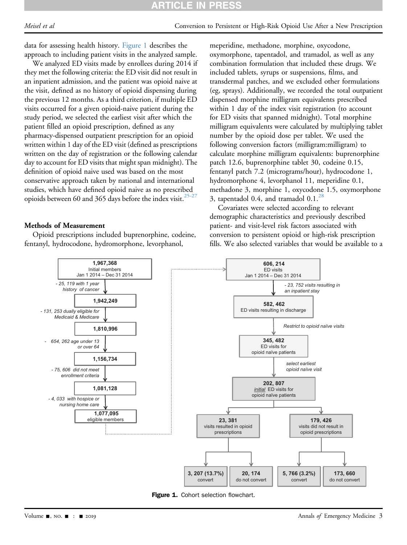data for assessing health history. [Figure 1](#page-2-0) describes the approach to including patient visits in the analyzed sample.

We analyzed ED visits made by enrollees during 2014 if they met the following criteria: the ED visit did not result in an inpatient admission, and the patient was opioid naive at the visit, defined as no history of opioid dispensing during the previous 12 months. As a third criterion, if multiple ED visits occurred for a given opioid-naive patient during the study period, we selected the earliest visit after which the patient filled an opioid prescription, defined as any pharmacy-dispensed outpatient prescription for an opioid written within 1 day of the ED visit (defined as prescriptions written on the day of registration or the following calendar day to account for ED visits that might span midnight). The definition of opioid naive used was based on the most conservative approach taken by national and international studies, which have defined opioid naive as no prescribed opioids between 60 and 365 days before the index visit.<sup>[25-27](#page-9-18)</sup>

# Methods of Measurement

Opioid prescriptions included buprenorphine, codeine, fentanyl, hydrocodone, hydromorphone, levorphanol,

meperidine, methadone, morphine, oxycodone, oxymorphone, tapentadol, and tramadol, as well as any combination formulation that included these drugs. We included tablets, syrups or suspensions, films, and transdermal patches, and we excluded other formulations (eg, sprays). Additionally, we recorded the total outpatient dispensed morphine milligram equivalents prescribed within 1 day of the index visit registration (to account for ED visits that spanned midnight). Total morphine milligram equivalents were calculated by multiplying tablet number by the opioid dose per tablet. We used the following conversion factors (milligram:milligram) to calculate morphine milligram equivalents: buprenorphine patch 12.6, buprenorphine tablet 30, codeine 0.15, fentanyl patch 7.2 (micrograms/hour), hydrocodone 1, hydromorphone 4, levorphanol 11, meperidine 0.1, methadone 3, morphine 1, oxycodone 1.5, oxymorphone 3, tapentadol 0.4, and tramadol  $0.1<sup>28</sup>$  $0.1<sup>28</sup>$  $0.1<sup>28</sup>$ 

Covariates were selected according to relevant demographic characteristics and previously described patient- and visit-level risk factors associated with conversion to persistent opioid or high-risk prescription fills. We also selected variables that would be available to a

<span id="page-2-0"></span>

Figure 1. Cohort selection flowchart.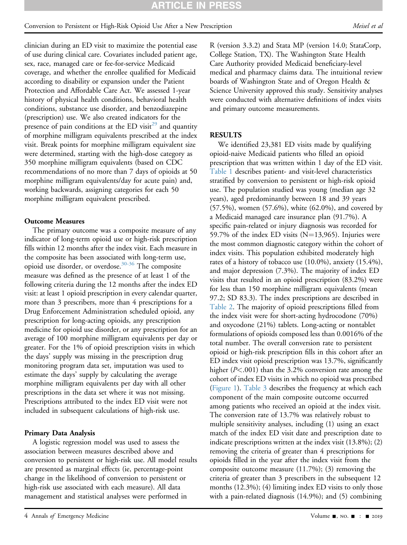clinician during an ED visit to maximize the potential ease of use during clinical care. Covariates included patient age, sex, race, managed care or fee-for-service Medicaid coverage, and whether the enrollee qualified for Medicaid according to disability or expansion under the Patient Protection and Affordable Care Act. We assessed 1-year history of physical health conditions, behavioral health conditions, substance use disorder, and benzodiazepine (prescription) use. We also created indicators for the presence of pain conditions at the ED visit<sup>[29](#page-9-20)</sup> and quantity of morphine milligram equivalents prescribed at the index visit. Break points for morphine milligram equivalent size were determined, starting with the high-dose category as 350 morphine milligram equivalents (based on CDC recommendations of no more than 7 days of opioids at 50 morphine milligram equivalents/day for acute pain) and, working backwards, assigning categories for each 50 morphine milligram equivalent prescribed.

# Outcome Measures

The primary outcome was a composite measure of any indicator of long-term opioid use or high-risk prescription fills within 12 months after the index visit. Each measure in the composite has been associated with long-term use, opioid use disorder, or overdose.<sup>[30-36](#page-9-21)</sup> The composite measure was defined as the presence of at least 1 of the following criteria during the 12 months after the index ED visit: at least 1 opioid prescription in every calendar quarter, more than 3 prescribers, more than 4 prescriptions for a Drug Enforcement Administration scheduled opioid, any prescription for long-acting opioids, any prescription medicine for opioid use disorder, or any prescription for an average of 100 morphine milligram equivalents per day or greater. For the 1% of opioid prescription visits in which the days' supply was missing in the prescription drug monitoring program data set, imputation was used to estimate the days' supply by calculating the average morphine milligram equivalents per day with all other prescriptions in the data set where it was not missing. Prescriptions attributed to the index ED visit were not included in subsequent calculations of high-risk use.

# Primary Data Analysis

A logistic regression model was used to assess the association between measures described above and conversion to persistent or high-risk use. All model results are presented as marginal effects (ie, percentage-point change in the likelihood of conversion to persistent or high-risk use associated with each measure). All data management and statistical analyses were performed in

R (version 3.3.2) and Stata MP (version 14.0; StataCorp, College Station, TX). The Washington State Health Care Authority provided Medicaid beneficiary-level medical and pharmacy claims data. The intuitional review boards of Washington State and of Oregon Health & Science University approved this study. Sensitivity analyses were conducted with alternative definitions of index visits and primary outcome measurements.

# RESULTS

We identified 23,381 ED visits made by qualifying opioid-naive Medicaid patients who filled an opioid prescription that was written within 1 day of the ED visit. [Table 1](#page-4-0) describes patient- and visit-level characteristics stratified by conversion to persistent or high-risk opioid use. The population studied was young (median age 32 years), aged predominantly between 18 and 39 years (57.5%), women (57.6%), white (62.0%), and covered by a Medicaid managed care insurance plan (91.7%). A specific pain-related or injury diagnosis was recorded for 59.7% of the index ED visits  $(N=13,965)$ . Injuries were the most common diagnostic category within the cohort of index visits. This population exhibited moderately high rates of a history of tobacco use (10.0%), anxiety (15.4%), and major depression (7.3%). The majority of index ED visits that resulted in an opioid prescription (83.2%) were for less than 150 morphine milligram equivalents (mean 97.2; SD 83.3). The index prescriptions are described in [Table 2](#page-5-0). The majority of opioid prescriptions filled from the index visit were for short-acting hydrocodone (70%) and oxycodone (21%) tablets. Long-acting or nontablet formulations of opioids composed less than 0.0016% of the total number. The overall conversion rate to persistent opioid or high-risk prescription fills in this cohort after an ED index visit opioid prescription was 13.7%, significantly higher (P<.001) than the 3.2% conversion rate among the cohort of index ED visits in which no opioid was prescribed ([Figure 1\)](#page-2-0). [Table 3](#page-5-1) describes the frequency at which each component of the main composite outcome occurred among patients who received an opioid at the index visit. The conversion rate of 13.7% was relatively robust to multiple sensitivity analyses, including (1) using an exact match of the index ED visit date and prescription date to indicate prescriptions written at the index visit (13.8%); (2) removing the criteria of greater than 4 prescriptions for opioids filled in the year after the index visit from the composite outcome measure (11.7%); (3) removing the criteria of greater than 3 prescribers in the subsequent 12 months (12.3%); (4) limiting index ED visits to only those with a pain-related diagnosis (14.9%); and (5) combining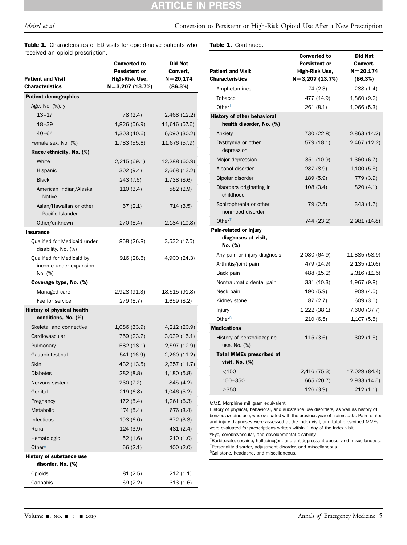# **ARTICLE IN PRESS**

Meisel et al Conversion to Persistent or High-Risk Opioid Use After a New Prescription

Table 1. Characteristics of ED visits for opioid-naive patients who received an opioid prescription.

Table 1. Continued.

| roocrea an opioia presemption.<br><b>Patient and Visit</b><br><b>Characteristics</b> | <b>Converted to</b><br>Persistent or<br>High-Risk Use,<br>$N=3,207(13.7%)$ | Did Not<br>Convert,<br>$N = 20,174$<br>(86.3%) |
|--------------------------------------------------------------------------------------|----------------------------------------------------------------------------|------------------------------------------------|
| <b>Patient demographics</b>                                                          |                                                                            |                                                |
| Age, No. (%), y                                                                      |                                                                            |                                                |
| $13 - 17$                                                                            | 78 (2.4)                                                                   | 2,468 (12.2)                                   |
| $18 - 39$                                                                            | 1,826 (56.9)                                                               | 11,616 (57.6)                                  |
| $40 - 64$                                                                            | 1,303(40.6)                                                                | 6,090 (30.2)                                   |
| Female sex, No. (%)                                                                  | 1,783(55.6)                                                                | 11,676 (57.9)                                  |
| Race/ethnicity, No. (%)                                                              |                                                                            |                                                |
| White                                                                                | 2,215 (69.1)                                                               | 12,288 (60.9)                                  |
| Hispanic                                                                             | 302(9.4)                                                                   | 2,668 (13.2)                                   |
| <b>Black</b>                                                                         | 243 (7.6)                                                                  | 1,738(8.6)                                     |
| American Indian/Alaska<br><b>Native</b>                                              | 110(3.4)                                                                   | 582 (2.9)                                      |
| Asian/Hawaiian or other<br>Pacific Islander                                          | 67(2.1)                                                                    | 714 (3.5)                                      |
| Other/unknown                                                                        | 270 (8.4)                                                                  | 2,184 (10.8)                                   |
| <b>Insurance</b>                                                                     |                                                                            |                                                |
| Qualified for Medicaid under<br>disability, No. (%)                                  | 858 (26.8)                                                                 | 3,532 (17.5)                                   |
| Qualified for Medicaid by<br>income under expansion,<br>No. (%)                      | 916 (28.6)                                                                 | 4,900 (24.3)                                   |
| Coverage type, No. (%)                                                               |                                                                            |                                                |
| Managed care                                                                         | 2,928 (91.3)                                                               | 18,515 (91.8)                                  |
| Fee for service                                                                      | 279 (8.7)                                                                  | 1,659(8.2)                                     |
| <b>History of physical health</b><br>conditions, No. (%)                             |                                                                            |                                                |
| Skeletal and connective                                                              | 1,086 (33.9)                                                               | 4,212 (20.9)                                   |
| Cardiovascular                                                                       | 759 (23.7)                                                                 | 3,039(15.1)                                    |
| Pulmonary                                                                            | 582 (18.1)                                                                 | 2,597 (12.9)                                   |
| Gastrointestinal                                                                     | 541 (16.9)                                                                 | 2,260 (11.2)                                   |
| Skin                                                                                 | 432 (13.5)                                                                 | 2,357 (11.7)                                   |
| <b>Diabetes</b>                                                                      | 282 (8.8)                                                                  | 1,180(5.8)                                     |
| Nervous system                                                                       | 230(7.2)                                                                   | 845 (4.2)                                      |
| Genital                                                                              | 219 (6.8)                                                                  | 1,046(5.2)                                     |
| Pregnancy                                                                            | 172(5.4)                                                                   | 1,261(6.3)                                     |
| Metabolic                                                                            | 174(5.4)                                                                   | 676 (3.4)                                      |
| Infectious                                                                           | 193 (6.0)                                                                  | 672(3.3)                                       |
| Renal                                                                                | 124 (3.9)                                                                  | 481 (2.4)                                      |
| Hematologic                                                                          | 52 (1.6)                                                                   | 210(1.0)                                       |
| Other*                                                                               | 66 (2.1)                                                                   | 400 (2.0)                                      |
| History of substance use<br>disorder, No. (%)                                        |                                                                            |                                                |
| Opioids                                                                              | 81 (2.5)                                                                   | 212(1.1)                                       |
| Cannabis                                                                             | 69 (2.2)                                                                   | 313(1.6)                                       |

|                                                         | <b>Converted to</b>  | <b>Did Not</b> |
|---------------------------------------------------------|----------------------|----------------|
|                                                         | <b>Persistent or</b> | Convert,       |
| <b>Patient and Visit</b><br><b>Characteristics</b>      | High-Risk Use,       | $N = 20,174$   |
|                                                         | $N = 3,207(13.7%)$   | (86.3%)        |
| Amphetamines                                            | 74 (2.3)             | 288 (1.4)      |
| Tobacco                                                 | 477 (14.9)           | 1,860 (9.2)    |
| Other $†$                                               | 261 (8.1)            | 1,066 (5.3)    |
| History of other behavioral<br>health disorder, No. (%) |                      |                |
| Anxiety                                                 | 730 (22.8)           | 2,863 (14.2)   |
| Dysthymia or other<br>depression                        | 579 (18.1)           | 2,467 (12.2)   |
| Major depression                                        | 351 (10.9)           | 1,360(6.7)     |
| Alcohol disorder                                        | 287 (8.9)            | 1,100(5.5)     |
| Bipolar disorder                                        | 189 (5.9)            | 779 (3.9)      |
| Disorders originating in<br>childhood                   | 108(3.4)             | 820 (4.1)      |
| Schizophrenia or other                                  | 79 (2.5)             | 343(1.7)       |
| nonmood disorder                                        |                      |                |
| Other $‡$                                               | 744 (23.2)           | 2,981 (14.8)   |
| Pain-related or injury                                  |                      |                |
| diagnoses at visit,                                     |                      |                |
| No. (%)                                                 |                      |                |
| Any pain or injury diagnosis                            | 2,080 (64.9)         | 11,885 (58.9)  |
| Arthritis/joint pain                                    | 479 (14.9)           | 2,135(10.6)    |
| Back pain                                               | 488 (15.2)           | 2,316 (11.5)   |
| Nontraumatic dental pain                                | 331 (10.3)           | 1,967 (9.8)    |
| Neck pain                                               | 190 (5.9)            | 909 (4.5)      |
| Kidney stone                                            | 87 (2.7)             | 609 (3.0)      |
| Injury                                                  | 1,222 (38.1)         | 7,600 (37.7)   |
| Other <sup>§</sup>                                      | 210 (6.5)            | 1,107 (5.5)    |
| <b>Medications</b>                                      |                      |                |
| History of benzodiazepine<br>use, No. (%)               | 115 (3.6)            | 302(1.5)       |
| <b>Total MMEs prescribed at</b>                         |                      |                |
| visit, No. (%)                                          |                      |                |
| $<$ 150                                                 | 2,416 (75.3)         | 17,029 (84.4)  |
| 150-350                                                 | 665 (20.7)           | 2,933 (14.5)   |
| >350                                                    | 126 (3.9)            | 212(1.1)       |
|                                                         |                      |                |

<span id="page-4-0"></span>MME, Morphine milligram equivalent.

History of physical, behavioral, and substance use disorders, as well as history of benzodiazepine use, was evaluated with the previous year of claims data. Pain-related and injury diagnoses were assessed at the index visit, and total prescribed MMEs were evaluated for prescriptions written within 1 day of the index visit. \*Eye, cerebrovascular, and developmental disability.

<span id="page-4-3"></span><span id="page-4-2"></span><span id="page-4-1"></span>† Barbiturate, cocaine, hallucinogen, and antidepressant abuse, and miscellaneous. ‡ Personality disorder, adjustment disorder, and miscellaneous.

<span id="page-4-4"></span>§ Gallstone, headache, and miscellaneous.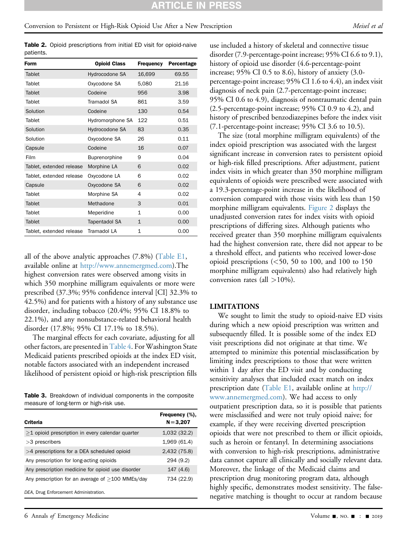<span id="page-5-0"></span>Table 2. Opioid prescriptions from initial ED visit for opioid-naive patients.

| Form                     | <b>Opioid Class</b>  | Frequency    | Percentage |
|--------------------------|----------------------|--------------|------------|
| Tablet                   | Hydrocodone SA       | 16,699       | 69.55      |
| Tablet                   | Oxycodone SA         | 5,080        | 21.16      |
| Tablet                   | Codeine              | 956          | 3.98       |
| Tablet                   | Tramadol SA          | 861          | 3.59       |
| Solution                 | Codeine              | 130          | 0.54       |
| Tablet                   | Hydromorphone SA     | 122          | 0.51       |
| Solution                 | Hydrocodone SA       | 83           | 0.35       |
| Solution                 | Oxycodone SA         | 26           | 0.11       |
| Capsule                  | Codeine              | 16           | 0.07       |
| Film                     | Buprenorphine        | 9            | 0.04       |
| Tablet, extended release | Morphine LA          | 6            | 0.02       |
| Tablet, extended release | Oxycodone LA         | 6            | 0.02       |
| Capsule                  | Oxycodone SA         | 6            | 0.02       |
| Tablet                   | Morphine SA          | 4            | 0.02       |
| Tablet                   | Methadone            | 3            | 0.01       |
| Tablet                   | Meperidine           | $\mathbf{1}$ | 0.00       |
| Tablet                   | <b>Tapentadol SA</b> | $\mathbf{1}$ | 0.00       |
| Tablet, extended release | Tramadol LA          | 1            | 0.00       |

all of the above analytic approaches (7.8%) (Table E1, available online at [http://www.annemergmed.com\)](http://www.annemergmed.com).The highest conversion rates were observed among visits in which 350 morphine milligram equivalents or more were prescribed (37.3%; 95% confidence interval [CI] 32.3% to 42.5%) and for patients with a history of any substance use disorder, including tobacco (20.4%; 95% CI 18.8% to 22.1%), and any nonsubstance-related behavioral health disorder (17.8%; 95% CI 17.1% to 18.5%).

The marginal effects for each covariate, adjusting for all other factors, are presented in [Table 4.](#page-6-0) For Washington State Medicaid patients prescribed opioids at the index ED visit, notable factors associated with an independent increased likelihood of persistent opioid or high-risk prescription fills

Table 3. Breakdown of individual components in the composite measure of long-term or high-risk use.

| Criteria                                           | Frequency (%).<br>$N = 3,207$ |
|----------------------------------------------------|-------------------------------|
| $>1$ opioid prescription in every calendar quarter | 1,032(32.2)                   |
| $>3$ prescribers                                   | 1,969 (61.4)                  |
| $>4$ prescriptions for a DEA scheduled opioid      | 2,432 (75.8)                  |
| Any prescription for long-acting opioids           | 294 (9.2)                     |
| Any prescription medicine for opioid use disorder  | 147 (4.6)                     |
| Any prescription for an average of $>100$ MMEs/day | 734 (22.9)                    |
| DEA, Drug Enforcement Administration.              |                               |

<span id="page-5-1"></span>6 Annals of Emergency Medicine Contract Contract Contract Contract Contract Contract Contract On the Contract O

use included a history of skeletal and connective tissue disorder (7.9-percentage-point increase; 95% CI 6.6 to 9.1), history of opioid use disorder (4.6-percentage-point increase; 95% CI 0.5 to 8.6), history of anxiety (3.0 percentage-point increase; 95% CI 1.6 to 4.4), an index visit diagnosis of neck pain (2.7-percentage-point increase; 95% CI 0.6 to 4.9), diagnosis of nontraumatic dental pain (2.5-percentage-point increase; 95% CI 0.9 to 4.2), and history of prescribed benzodiazepines before the index visit (7.1-percentage-point increase; 95% CI 3.6 to 10.5).

The size (total morphine milligram equivalents) of the index opioid prescription was associated with the largest significant increase in conversion rates to persistent opioid or high-risk filled prescriptions. After adjustment, patient index visits in which greater than 350 morphine milligram equivalents of opioids were prescribed were associated with a 19.3-percentage-point increase in the likelihood of conversion compared with those visits with less than 150 morphine milligram equivalents. [Figure 2](#page-7-0) displays the unadjusted conversion rates for index visits with opioid prescriptions of differing sizes. Although patients who received greater than 350 morphine milligram equivalents had the highest conversion rate, there did not appear to be a threshold effect, and patients who received lower-dose opioid prescriptions  $(<50, 50$  to 100, and 100 to 150 morphine milligram equivalents) also had relatively high conversion rates (all  $>10\%$ ).

#### LIMITATIONS

We sought to limit the study to opioid-naive ED visits during which a new opioid prescription was written and subsequently filled. It is possible some of the index ED visit prescriptions did not originate at that time. We attempted to minimize this potential misclassification by limiting index prescriptions to those that were written within 1 day after the ED visit and by conducting sensitivity analyses that included exact match on index prescription date (Table E1, available online at [http://](http://www.annemergmed.com) [www.annemergmed.com](http://www.annemergmed.com)). We had access to only outpatient prescription data, so it is possible that patients were misclassified and were not truly opioid naive; for example, if they were receiving diverted prescription opioids that were not prescribed to them or illicit opioids, such as heroin or fentanyl. In determining associations with conversion to high-risk prescriptions, administrative data cannot capture all clinically and socially relevant data. Moreover, the linkage of the Medicaid claims and prescription drug monitoring program data, although highly specific, demonstrates modest sensitivity. The falsenegative matching is thought to occur at random because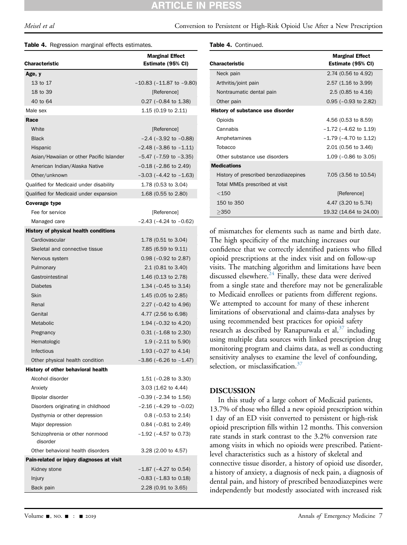# Meisel et al Conversion to Persistent or High-Risk Opioid Use After a New Prescription

<span id="page-6-0"></span>

|  | <b>Table 4.</b> Regression marginal effects estimates. |  |  |  |
|--|--------------------------------------------------------|--|--|--|
|--|--------------------------------------------------------|--|--|--|

| <b>Characteristic</b>                        | <b>Marginal Effect</b><br>Estimate (95% CI) |
|----------------------------------------------|---------------------------------------------|
| Age, y                                       |                                             |
| 13 to 17                                     | $-10.83$ ( $-11.87$ to $-9.80$ )            |
| 18 to 39                                     | [Reference]                                 |
| 40 to 64                                     | $0.27$ (-0.84 to 1.38)                      |
| Male sex                                     | 1.15 $(0.19 \text{ to } 2.11)$              |
| Race                                         |                                             |
| White                                        | [Reference]                                 |
| <b>Black</b>                                 | $-2.4$ ( $-3.92$ to $-0.88$ )               |
| Hispanic                                     | $-2.48$ ( $-3.86$ to $-1.11$ )              |
| Asian/Hawaiian or other Pacific Islander     | $-5.47$ ( $-7.59$ to $-3.35$ )              |
| American Indian/Alaska Native                | $-0.18$ ( $-2.86$ to 2.49)                  |
| Other/unknown                                | $-3.03$ ( $-4.42$ to $-1.63$ )              |
| Qualified for Medicaid under disability      | 1.78 (0.53 to 3.04)                         |
| Qualified for Medicaid under expansion       | 1.68 (0.55 to 2.80)                         |
| Coverage type                                |                                             |
| Fee for service                              | [Reference]                                 |
| Managed care                                 | $-2.43$ ( $-4.24$ to $-0.62$ )              |
| <b>History of physical health conditions</b> |                                             |
| Cardiovascular                               | 1.78 (0.51 to 3.04)                         |
| Skeletal and connective tissue               | 7.85 (6.59 to 9.11)                         |
| Nervous system                               | $0.98$ (-0.92 to 2.87)                      |
| Pulmonary                                    | 2.1 (0.81 to 3.40)                          |
| Gastrointestinal                             | 1.46 (0.13 to 2.78)                         |
| <b>Diabetes</b>                              | 1.34 ( $-0.45$ to 3.14)                     |
| Skin                                         | 1.45 (0.05 to 2.85)                         |
| Renal                                        | 2.27 (-0.42 to 4.96)                        |
| Genital                                      | 4.77 (2.56 to 6.98)                         |
| Metabolic                                    | 1.94 (-0.32 to 4.20)                        |
| Pregnancy                                    | $0.31$ ( $-1.68$ to 2.30)                   |
| Hematologic                                  | 1.9 $(-2.11$ to 5.90)                       |
| Infectious                                   | 1.93 $(-0.27 \text{ to } 4.14)$             |
| Other physical health condition              | $-3.86$ ( $-6.26$ to $-1.47$ )              |
| History of other behavioral health           |                                             |
| Alcohol disorder                             | 1.51 ( $-0.28$ to 3.30)                     |
| Anxiety                                      | $3.03$ (1.62 to 4.44)                       |
| Bipolar disorder                             | $-0.39$ ( $-2.34$ to 1.56)                  |
| Disorders originating in childhood           | $-2.16$ ( $-4.29$ to $-0.02$ )              |
| Dysthymia or other depression                | $0.8$ (-0.53 to 2.14)                       |
| Major depression                             | $0.84$ (-0.81 to 2.49)                      |
| Schizophrenia or other nonmood<br>disorder   | $-1.92$ ( $-4.57$ to 0.73)                  |
| Other behavioral health disorders            | 3.28 (2.00 to 4.57)                         |
| Pain-related or injury diagnoses at visit    |                                             |
| Kidney stone                                 | $-1.87$ ( $-4.27$ to 0.54)                  |
| Injury                                       | $-0.83$ ( $-1.83$ to 0.18)                  |
| Back pain                                    | 2.28 (0.91 to 3.65)                         |

Table 4. Continued.

|                                       | <b>Marginal Effect</b>     |
|---------------------------------------|----------------------------|
| Characteristic                        | Estimate (95% CI)          |
| Neck pain                             | 2.74 (0.56 to 4.92)        |
| Arthritis/joint pain                  | 2.57 (1.16 to 3.99)        |
| Nontraumatic dental pain              | $2.5(0.85)$ to $4.16$      |
| Other pain                            | $0.95$ ( $-0.93$ to 2.82)  |
| History of substance use disorder     |                            |
| Opioids                               | 4.56 (0.53 to 8.59)        |
| Cannabis                              | $-1.72$ ( $-4.62$ to 1.19) |
| Amphetamines                          | $-1.79$ ( $-4.70$ to 1.12) |
| Tobacco                               | 2.01 (0.56 to 3.46)        |
| Other substance use disorders         | 1.09 ( $-0.86$ to 3.05)    |
| <b>Medications</b>                    |                            |
| History of prescribed benzodiazepines | 7.05 (3.56 to 10.54)       |
| Total MMEs prescribed at visit        |                            |
| < 150                                 | [Reference]                |
| 150 to 350                            | 4.47 (3.20 to 5.74)        |
| >350                                  | 19.32 (14.64 to 24.00)     |

of mismatches for elements such as name and birth date. The high specificity of the matching increases our confidence that we correctly identified patients who filled opioid prescriptions at the index visit and on follow-up visits. The matching algorithm and limitations have been discussed elsewhere. $24$  Finally, these data were derived from a single state and therefore may not be generalizable to Medicaid enrollees or patients from different regions. We attempted to account for many of these inherent limitations of observational and claims-data analyses by using recommended best practices for opioid safety research as described by Ranapurwala et al,  $37$  including using multiple data sources with linked prescription drug monitoring program and claims data, as well as conducting sensitivity analyses to examine the level of confounding, selection, or misclassification.<sup>[37](#page-9-22)</sup>

## DISCUSSION

In this study of a large cohort of Medicaid patients, 13.7% of those who filled a new opioid prescription within 1 day of an ED visit converted to persistent or high-risk opioid prescription fills within 12 months. This conversion rate stands in stark contrast to the 3.2% conversion rate among visits in which no opioids were prescribed. Patientlevel characteristics such as a history of skeletal and connective tissue disorder, a history of opioid use disorder, a history of anxiety, a diagnosis of neck pain, a diagnosis of dental pain, and history of prescribed benzodiazepines were independently but modestly associated with increased risk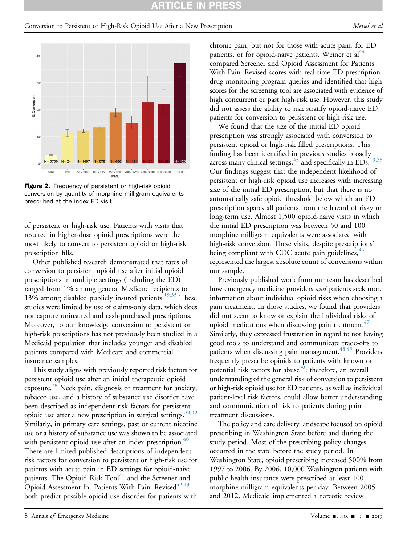#### CLEI PR

# <span id="page-7-0"></span>Conversion to Persistent or High-Risk Opioid Use After a New Prescription Meisel et al.



Figure 2. Frequency of persistent or high-risk opioid conversion by quantity of morphine milligram equivalents prescribed at the index ED visit.

of persistent or high-risk use. Patients with visits that resulted in higher-dose opioid prescriptions were the most likely to convert to persistent opioid or high-risk prescription fills.

Other published research demonstrated that rates of conversion to persistent opioid use after initial opioid prescriptions in multiple settings (including the ED) ranged from 1% among general Medicare recipients to 13% among disabled publicly insured patients.<sup>[19,35](#page-9-12)</sup> These studies were limited by use of claims-only data, which does not capture uninsured and cash-purchased prescriptions. Moreover, to our knowledge conversion to persistent or high-risk prescriptions has not previously been studied in a Medicaid population that includes younger and disabled patients compared with Medicare and commercial insurance samples.

This study aligns with previously reported risk factors for persistent opioid use after an initial therapeutic opioid exposure.<sup>[38](#page-9-23)</sup> Neck pain, diagnosis or treatment for anxiety, tobacco use, and a history of substance use disorder have been described as independent risk factors for persistent opioid use after a new prescription in surgical settings.<sup>38,39</sup> Similarly, in primary care settings, past or current nicotine use or a history of substance use was shown to be associated with persistent opioid use after an index prescription. $40$ There are limited published descriptions of independent risk factors for conversion to persistent or high-risk use for patients with acute pain in ED settings for opioid-naive patients. The Opioid Risk Tool<sup>41</sup> and the Screener and Opioid Assessment for Patients With Pain–Revised<sup>[42,43](#page-9-26)</sup> both predict possible opioid use disorder for patients with

chronic pain, but not for those with acute pain, for ED patients, or for opioid-naive patients. Weiner et al<sup>44</sup> compared Screener and Opioid Assessment for Patients With Pain–Revised scores with real-time ED prescription drug monitoring program queries and identified that high scores for the screening tool are associated with evidence of high concurrent or past high-risk use. However, this study did not assess the ability to risk stratify opioid-naive ED patients for conversion to persistent or high-risk use.

We found that the size of the initial ED opioid prescription was strongly associated with conversion to persistent opioid or high-risk filled prescriptions. This finding has been identified in previous studies broadly across many clinical settings,  $45$  and specifically in EDs.<sup>[19,35](#page-9-12)</sup> Our findings suggest that the independent likelihood of persistent or high-risk opioid use increases with increasing size of the initial ED prescription, but that there is no automatically safe opioid threshold below which an ED prescription spares all patients from the hazard of risky or long-term use. Almost 1,500 opioid-naive visits in which the initial ED prescription was between 50 and 100 morphine milligram equivalents were associated with high-risk conversion. These visits, despite prescriptions' being compliant with CDC acute pain guidelines,  $46$ represented the largest absolute count of conversions within our sample.

Previously published work from our team has described how emergency medicine providers *and* patients seek more information about individual opioid risks when choosing a pain treatment. In those studies, we found that providers did not seem to know or explain the individual risks of opioid medications when discussing pain treatment.<sup> $4/$ </sup> Similarly, they expressed frustration in regard to not having good tools to understand and communicate trade-offs to patients when discussing pain management.  $48,49$  Providers frequently prescribe opioids to patients with known or potential risk factors for abuse<sup>50</sup>; therefore, an overall understanding of the general risk of conversion to persistent or high-risk opioid use for ED patients, as well as individual patient-level risk factors, could allow better understanding and communication of risk to patients during pain treatment discussions.

The policy and care delivery landscape focused on opioid prescribing in Washington State before and during the study period. Most of the prescribing policy changes occurred in the state before the study period. In Washington State, opioid prescribing increased 500% from 1997 to 2006. By 2006, 10,000 Washington patients with public health insurance were prescribed at least 100 morphine milligram equivalents per day. Between 2005 and 2012, Medicaid implemented a narcotic review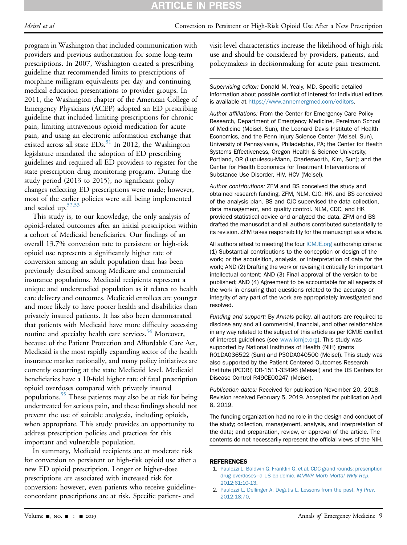# **ARTICLE IN PRES**

program in Washington that included communication with providers and previous authorization for some long-term prescriptions. In 2007, Washington created a prescribing guideline that recommended limits to prescriptions of morphine milligram equivalents per day and continuing medical education presentations to provider groups. In 2011, the Washington chapter of the American College of Emergency Physicians (ACEP) adopted an ED prescribing guideline that included limiting prescriptions for chronic pain, limiting intravenous opioid medication for acute pain, and using an electronic information exchange that existed across all state  $EDs$ <sup>[51](#page-10-3)</sup> In 2012, the Washington legislature mandated the adoption of ED prescribing guidelines and required all ED providers to register for the state prescription drug monitoring program. During the study period (2013 to 2015), no significant policy changes reflecting ED prescriptions were made; however, most of the earlier policies were still being implemented and scaled up.<sup>[52,53](#page-10-4)</sup>

This study is, to our knowledge, the only analysis of opioid-related outcomes after an initial prescription within a cohort of Medicaid beneficiaries. Our findings of an overall 13.7% conversion rate to persistent or high-risk opioid use represents a significantly higher rate of conversion among an adult population than has been previously described among Medicare and commercial insurance populations. Medicaid recipients represent a unique and understudied population as it relates to health care delivery and outcomes. Medicaid enrollees are younger and more likely to have poorer health and disabilities than privately insured patients. It has also been demonstrated that patients with Medicaid have more difficulty accessing routine and specialty health care services.<sup>[54](#page-10-5)</sup> Moreover, because of the Patient Protection and Affordable Care Act, Medicaid is the most rapidly expanding sector of the health insurance market nationally, and many policy initiatives are currently occurring at the state Medicaid level. Medicaid beneficiaries have a 10-fold higher rate of fatal prescription opioid overdoses compared with privately insured populations.<sup>[55](#page-10-6)</sup> These patients may also be at risk for being undertreated for serious pain, and these findings should not prevent the use of suitable analgesia, including opioids, when appropriate. This study provides an opportunity to address prescription policies and practices for this important and vulnerable population.

In summary, Medicaid recipients are at moderate risk for conversion to persistent or high-risk opioid use after a new ED opioid prescription. Longer or higher-dose prescriptions are associated with increased risk for conversion; however, even patients who receive guidelineconcordant prescriptions are at risk. Specific patient- and

visit-level characteristics increase the likelihood of high-risk use and should be considered by providers, patients, and policymakers in decisionmaking for acute pain treatment.

Supervising editor: Donald M. Yealy, MD. Specific detailed information about possible conflict of interest for individual editors is available at [https://www.annemergmed.com/editors.](https://www.annemergmed.com/editors)

Author affiliations: From the Center for Emergency Care Policy Research, Department of Emergency Medicine, Perelman School of Medicine (Meisel, Sun), the Leonard Davis Institute of Health Economics, and the Penn Injury Science Center (Meisel, Sun), University of Pennsylvania, Philadelphia, PA; the Center for Health Systems Effectiveness, Oregon Health & Science University, Portland, OR (Lupulescu-Mann, Charlesworth, Kim, Sun); and the Center for Health Economics for Treatment Interventions of Substance Use Disorder, HIV, HCV (Meisel).

Author contributions: ZFM and BS conceived the study and obtained research funding. ZFM, NLM, CJC, HK, and BS conceived of the analysis plan. BS and CJC supervised the data collection, data management, and quality control. NLM, CDC, and HK provided statistical advice and analyzed the data. ZFM and BS drafted the manuscript and all authors contributed substantially to its revision. ZFM takes responsibility for the manuscript as a whole.

All authors attest to meeting the four [ICMJE.org](http://ICMJE.org) authorship criteria: (1) Substantial contributions to the conception or design of the work; or the acquisition, analysis, or interpretation of data for the work; AND (2) Drafting the work or revising it critically for important intellectual content; AND (3) Final approval of the version to be published; AND (4) Agreement to be accountable for all aspects of the work in ensuring that questions related to the accuracy or integrity of any part of the work are appropriately investigated and resolved.

Funding and support: By Annals policy, all authors are required to disclose any and all commercial, financial, and other relationships in any way related to the subject of this article as per ICMJE conflict of interest guidelines (see [www.icmje.org\)](http://www.icmje.org). This study was supported by National Institutes of Health (NIH) grants R01DA036522 (Sun) and P30DA040500 (Meisel). This study was also supported by the Patient Centered Outcomes Research Institute (PCORI) DR-1511-33496 (Meisel) and the US Centers for Disease Control R49CE00247 (Meisel).

Publication dates: Received for publication November 20, 2018. Revision received February 5, 2019. Accepted for publication April 8, 2019.

The funding organization had no role in the design and conduct of the study; collection, management, analysis, and interpretation of the data; and preparation, review, or approval of the article. The contents do not necessarily represent the official views of the NIH.

#### <span id="page-8-0"></span>REFERENCES

- 1. [Paulozzi L, Baldwin G, Franklin G, et al. CDC grand rounds: prescription](http://refhub.elsevier.com/S0196-0644(19)30310-5/sref1) [drug overdoses](http://refhub.elsevier.com/S0196-0644(19)30310-5/sref1)—a US epidemic. [MMWR Morb Mortal Wkly Rep](http://refhub.elsevier.com/S0196-0644(19)30310-5/sref1). [2012;61:10-13.](http://refhub.elsevier.com/S0196-0644(19)30310-5/sref1)
- 2. [Paulozzi L, Dellinger A, Degutis L. Lessons from the past.](http://refhub.elsevier.com/S0196-0644(19)30310-5/sref2) Inj Prev. [2012;18:70.](http://refhub.elsevier.com/S0196-0644(19)30310-5/sref2)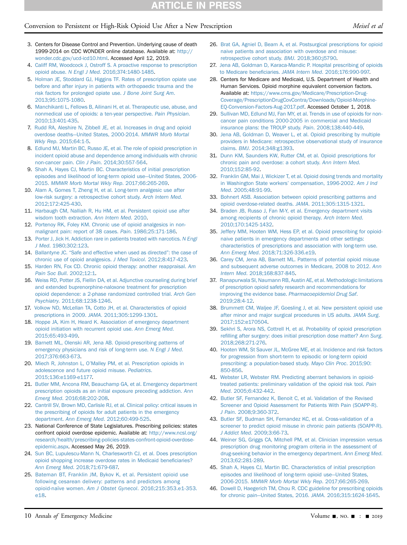# Conversion to Persistent or High-Risk Opioid Use After a New Prescription Meisel et al.

- <span id="page-9-0"></span>3. Centers for Disease Control and Prevention. Underlying cause of death 1999-2014 on CDC WONDER online database. Available at: [http://](http://wonder.cdc.gov/ucd-icd10.html) [wonder.cdc.gov/ucd-icd10.html.](http://wonder.cdc.gov/ucd-icd10.html) Accessed April 12, 2019.
- <span id="page-9-1"></span>4. [Califf RM, Woodcock J, Ostroff S. A proactive response to prescription](http://refhub.elsevier.com/S0196-0644(19)30310-5/sref5) opioid abuse. N Engl J Med[. 2016;374:1480-1485](http://refhub.elsevier.com/S0196-0644(19)30310-5/sref5).
- 5. [Holman JE, Stoddard GJ, Higgins TF. Rates of prescription opiate use](http://refhub.elsevier.com/S0196-0644(19)30310-5/sref6) [before and after injury in patients with orthopaedic trauma and the](http://refhub.elsevier.com/S0196-0644(19)30310-5/sref6) [risk factors for prolonged opiate use.](http://refhub.elsevier.com/S0196-0644(19)30310-5/sref6) J Bone Joint Surg Am. [2013;95:1075-1080](http://refhub.elsevier.com/S0196-0644(19)30310-5/sref6).
- 6. [Manchikanti L, Fellows B, Ailinani H, et al. Therapeutic use, abuse, and](http://refhub.elsevier.com/S0196-0644(19)30310-5/sref7) [nonmedical use of opioids: a ten-year perspective.](http://refhub.elsevier.com/S0196-0644(19)30310-5/sref7) Pain Physician. [2010;13:401-435](http://refhub.elsevier.com/S0196-0644(19)30310-5/sref7).
- <span id="page-9-2"></span>7. [Rudd RA, Aleshire N, Zibbell JE, et al. Increases in drug and opioid](http://refhub.elsevier.com/S0196-0644(19)30310-5/sref8) [overdose deaths](http://refhub.elsevier.com/S0196-0644(19)30310-5/sref8)—[United States, 2000-2014.](http://refhub.elsevier.com/S0196-0644(19)30310-5/sref8) MMWR Morb Mortal Wkly Rep[. 2015;64:1-5](http://refhub.elsevier.com/S0196-0644(19)30310-5/sref8).
- <span id="page-9-3"></span>8. [Edlund MJ, Martin BC, Russo JE, et al. The role of opioid prescription in](http://refhub.elsevier.com/S0196-0644(19)30310-5/sref9) [incident opioid abuse and dependence among individuals with chronic](http://refhub.elsevier.com/S0196-0644(19)30310-5/sref9) non-cancer pain. Clin J Pain[. 2014;30:557-564.](http://refhub.elsevier.com/S0196-0644(19)30310-5/sref9)
- <span id="page-9-4"></span>9. [Shah A, Hayes CJ, Martin BC. Characteristics of initial prescription](http://refhub.elsevier.com/S0196-0644(19)30310-5/sref10) [episodes and likelihood of long-term opioid use](http://refhub.elsevier.com/S0196-0644(19)30310-5/sref10)—[United States, 2006-](http://refhub.elsevier.com/S0196-0644(19)30310-5/sref10) 2015. [MMWR Morb Mortal Wkly Rep](http://refhub.elsevier.com/S0196-0644(19)30310-5/sref10). 2017;66:265-269.
- <span id="page-9-5"></span>10. [Alam A, Gomes T, Zheng H, et al. Long-term analgesic use after](http://refhub.elsevier.com/S0196-0644(19)30310-5/sref11) [low-risk surgery: a retrospective cohort study.](http://refhub.elsevier.com/S0196-0644(19)30310-5/sref11) Arch Intern Med. [2012;172:425-430.](http://refhub.elsevier.com/S0196-0644(19)30310-5/sref11)
- <span id="page-9-6"></span>11. [Harbaugh CM, Nalliah R, Hu HM, et al. Persistent opioid use after](http://refhub.elsevier.com/S0196-0644(19)30310-5/sref12) [wisdom tooth extraction.](http://refhub.elsevier.com/S0196-0644(19)30310-5/sref12) Ann Intern Med. 2010.
- <span id="page-9-7"></span>12. [Portenoy RK, Foley KM. Chronic use of opioid analgesics in non](http://refhub.elsevier.com/S0196-0644(19)30310-5/sref13)[malignant pain: report of 38 cases.](http://refhub.elsevier.com/S0196-0644(19)30310-5/sref13) Pain. 1986;25:171-186.
- 13. [Porter J, Jick H. Addiction rare in patients treated with narcotics.](http://refhub.elsevier.com/S0196-0644(19)30310-5/sref14) N Engl J Med[. 1980;302:123.](http://refhub.elsevier.com/S0196-0644(19)30310-5/sref14)
- <span id="page-9-8"></span>14. Ballantyne JC. "[Safe and effective when used as directed](http://refhub.elsevier.com/S0196-0644(19)30310-5/sref15)": the case of [chronic use of opioid analgesics.](http://refhub.elsevier.com/S0196-0644(19)30310-5/sref15) J Med Toxicol. 2012;8:417-423.
- 15. [Harden RN, Fox CD. Chronic opioid therapy: another reappraisal.](http://refhub.elsevier.com/S0196-0644(19)30310-5/sref16) Am [Pain Soc Bull](http://refhub.elsevier.com/S0196-0644(19)30310-5/sref16). 2002;12:1.
- <span id="page-9-9"></span>16. [Weiss RD, Potter JS, Fiellin DA, et al. Adjunctive counseling during brief](http://refhub.elsevier.com/S0196-0644(19)30310-5/sref17) [and extended buprenorphine-naloxone treatment for prescription](http://refhub.elsevier.com/S0196-0644(19)30310-5/sref17) [opioid dependence: a 2-phase randomized controlled trial.](http://refhub.elsevier.com/S0196-0644(19)30310-5/sref17) Arch Gen Psychiatry[. 2011;68:1238-1246.](http://refhub.elsevier.com/S0196-0644(19)30310-5/sref17)
- <span id="page-9-10"></span>17. [Volkow ND, McLellan TA, Cotto JH, et al. Characteristics of opioid](http://refhub.elsevier.com/S0196-0644(19)30310-5/sref18) prescriptions in 2009. JAMA[. 2011;305:1299-1301.](http://refhub.elsevier.com/S0196-0644(19)30310-5/sref18)
- <span id="page-9-11"></span>18. [Hoppe JA, Kim H, Heard K. Association of emergency department](http://refhub.elsevier.com/S0196-0644(19)30310-5/sref19) [opioid initiation with recurrent opioid use.](http://refhub.elsevier.com/S0196-0644(19)30310-5/sref19) Ann Emerg Med. [2015;65:493-499.](http://refhub.elsevier.com/S0196-0644(19)30310-5/sref19)
- <span id="page-9-12"></span>19. [Barnett ML, Olenski AR, Jena AB. Opioid-prescribing patterns of](http://refhub.elsevier.com/S0196-0644(19)30310-5/sref20) [emergency physicians and risk of long-term use.](http://refhub.elsevier.com/S0196-0644(19)30310-5/sref20) N Engl J Med. [2017;376:663-673](http://refhub.elsevier.com/S0196-0644(19)30310-5/sref20).
- <span id="page-9-13"></span>20. Miech R, Johnston L, O'[Malley PM, et al. Prescription opioids in](http://refhub.elsevier.com/S0196-0644(19)30310-5/sref21) [adolescence and future opioid misuse.](http://refhub.elsevier.com/S0196-0644(19)30310-5/sref21) Pediatrics. [2015;136:e1169-e1177.](http://refhub.elsevier.com/S0196-0644(19)30310-5/sref21)
- <span id="page-9-14"></span>21. [Butler MM, Ancona RM, Beauchamp GA, et al. Emergency department](http://refhub.elsevier.com/S0196-0644(19)30310-5/sref22) [prescription opioids as an initial exposure preceding addiction.](http://refhub.elsevier.com/S0196-0644(19)30310-5/sref22) Ann Emerg Med[. 2016;68:202-208](http://refhub.elsevier.com/S0196-0644(19)30310-5/sref22).
- <span id="page-9-15"></span>22. [Cantrill SV, Brown MD, Carlisle RJ, et al. Clinical policy: critical issues in](http://refhub.elsevier.com/S0196-0644(19)30310-5/sref24) [the prescribing of opioids for adult patients in the emergency](http://refhub.elsevier.com/S0196-0644(19)30310-5/sref24) department. Ann Emerg Med[. 2012;60:499-525.](http://refhub.elsevier.com/S0196-0644(19)30310-5/sref24)
- <span id="page-9-16"></span>23. National Conference of State Legislatures. Prescribing policies: states confront opioid overdose epidemic. Available at: [http://www.ncsl.org/](http://www.ncsl.org/research/health/prescribing-policies-states-confront-opioid-overdose-epidemic.aspx) [research/health/prescribing-policies-states-confront-opioid-overdose](http://www.ncsl.org/research/health/prescribing-policies-states-confront-opioid-overdose-epidemic.aspx)[epidemic.aspx](http://www.ncsl.org/research/health/prescribing-policies-states-confront-opioid-overdose-epidemic.aspx). Accessed May 26, 2019.
- <span id="page-9-17"></span>24. [Sun BC, Lupulescu-Mann N, Charlesworth CJ, et al. Does prescription](http://refhub.elsevier.com/S0196-0644(19)30310-5/sref26) [opioid shopping increase overdose rates in Medicaid bene](http://refhub.elsevier.com/S0196-0644(19)30310-5/sref26)ficiaries? Ann Emerg Med[. 2018;71:679-687.](http://refhub.elsevier.com/S0196-0644(19)30310-5/sref26)
- <span id="page-9-18"></span>25. [Bateman BT, Franklin JM, Bykov K, et al. Persistent opioid use](http://refhub.elsevier.com/S0196-0644(19)30310-5/sref27) [following cesarean delivery: patterns and predictors among](http://refhub.elsevier.com/S0196-0644(19)30310-5/sref27) opioid-naïve women. Am J Obstet Gynecol[. 2016;215:353.e1-353.](http://refhub.elsevier.com/S0196-0644(19)30310-5/sref27) [e18.](http://refhub.elsevier.com/S0196-0644(19)30310-5/sref27)
- 26. [Brat GA, Agniel D, Beam A, et al. Postsurgical prescriptions for opioid](http://refhub.elsevier.com/S0196-0644(19)30310-5/sref28) [naive patients and association with overdose and misuse:](http://refhub.elsevier.com/S0196-0644(19)30310-5/sref28) [retrospective cohort study.](http://refhub.elsevier.com/S0196-0644(19)30310-5/sref28) BMJ. 2018;360:j5790.
- 27. [Jena AB, Goldman D, Karaca-Mandic P. Hospital prescribing of opioids](http://refhub.elsevier.com/S0196-0644(19)30310-5/sref29) to Medicare beneficiaries. JAMA Intern Med[. 2016;176:990-997.](http://refhub.elsevier.com/S0196-0644(19)30310-5/sref29)
- <span id="page-9-19"></span>28. Centers for Medicare and Medicaid, U.S. Department of Health and Human Services. Opioid morphine equivalent conversion factors. Available at: [https://www.cms.gov/Medicare/Prescription-Drug-](https://www.cms.gov/Medicare/Prescription-Drug-Coverage/PrescriptionDrugCovContra/Downloads/Opioid-Morphine-EQ-Conversion-Factors-Aug-2017.pdf)[Coverage/PrescriptionDrugCovContra/Downloads/Opioid-Morphine-](https://www.cms.gov/Medicare/Prescription-Drug-Coverage/PrescriptionDrugCovContra/Downloads/Opioid-Morphine-EQ-Conversion-Factors-Aug-2017.pdf)[EQ-Conversion-Factors-Aug-2017.pdf](https://www.cms.gov/Medicare/Prescription-Drug-Coverage/PrescriptionDrugCovContra/Downloads/Opioid-Morphine-EQ-Conversion-Factors-Aug-2017.pdf). Accessed October 1, 2018.
- <span id="page-9-20"></span>29. [Sullivan MD, Edlund MJ, Fan MY, et al. Trends in use of opioids for non](http://refhub.elsevier.com/S0196-0644(19)30310-5/sref31)[cancer pain conditions 2000-2005 in commercial and Medicaid](http://refhub.elsevier.com/S0196-0644(19)30310-5/sref31) [insurance plans: the TROUP study.](http://refhub.elsevier.com/S0196-0644(19)30310-5/sref31) Pain. 2008;138:440-449.
- <span id="page-9-21"></span>30. [Jena AB, Goldman D, Weaver L, et al. Opioid prescribing by multiple](http://refhub.elsevier.com/S0196-0644(19)30310-5/sref32) [providers in Medicare: retrospective observational study of insurance](http://refhub.elsevier.com/S0196-0644(19)30310-5/sref32) claims. BMJ[. 2014;348:g1393](http://refhub.elsevier.com/S0196-0644(19)30310-5/sref32).
- 31. [Dunn KM, Saunders KW, Rutter CM, et al. Opioid prescriptions for](http://refhub.elsevier.com/S0196-0644(19)30310-5/sref33) [chronic pain and overdose: a cohort study.](http://refhub.elsevier.com/S0196-0644(19)30310-5/sref33) Ann Intern Med. [2010;152:85-92](http://refhub.elsevier.com/S0196-0644(19)30310-5/sref33).
- 32. [Franklin GM, Mai J, Wickizer T, et al. Opioid dosing trends and mortality](http://refhub.elsevier.com/S0196-0644(19)30310-5/sref34) [in Washington State workers](http://refhub.elsevier.com/S0196-0644(19)30310-5/sref34)' compensation, 1996-2002. Am J Ind Med[. 2005;48:91-99.](http://refhub.elsevier.com/S0196-0644(19)30310-5/sref34)
- 33. [Bohnert ASB. Association between opioid prescribing patterns and](http://refhub.elsevier.com/S0196-0644(19)30310-5/sref35) [opioid overdose-related deaths.](http://refhub.elsevier.com/S0196-0644(19)30310-5/sref35) JAMA. 2011;305:1315-1321.
- 34. [Braden JB, Russo J, Fan M-Y, et al. Emergency department visits](http://refhub.elsevier.com/S0196-0644(19)30310-5/sref36) [among recipients of chronic opioid therapy.](http://refhub.elsevier.com/S0196-0644(19)30310-5/sref36) Arch Intern Med. [2010;170:1425-1432](http://refhub.elsevier.com/S0196-0644(19)30310-5/sref36).
- 35. [Jeffery MM, Hooten WM, Hess EP, et al. Opioid prescribing for opioid](http://refhub.elsevier.com/S0196-0644(19)30310-5/sref37)[naive patients in emergency departments and other settings:](http://refhub.elsevier.com/S0196-0644(19)30310-5/sref37) [characteristics of prescriptions and association with long-term use.](http://refhub.elsevier.com/S0196-0644(19)30310-5/sref37) Ann Emerg Med[. 2018;71:326-336.e19](http://refhub.elsevier.com/S0196-0644(19)30310-5/sref37).
- 36. [Carey CM, Jena AB, Barnett ML. Patterns of potential opioid misuse](http://refhub.elsevier.com/S0196-0644(19)30310-5/sref38) [and subsequent adverse outcomes in Medicare, 2008 to 2012.](http://refhub.elsevier.com/S0196-0644(19)30310-5/sref38) Ann Intern Med[. 2018;168:837-845](http://refhub.elsevier.com/S0196-0644(19)30310-5/sref38).
- <span id="page-9-22"></span>37. [Ranapurwala SI, Naumann RB, Austin AE, et al. Methodologic limitations](http://refhub.elsevier.com/S0196-0644(19)30310-5/sref39) [of prescription opioid safety research and recommendations for](http://refhub.elsevier.com/S0196-0644(19)30310-5/sref39) improving the evidence base. [Pharmacoepidemiol Drug Saf](http://refhub.elsevier.com/S0196-0644(19)30310-5/sref39). [2019;28:4-12](http://refhub.elsevier.com/S0196-0644(19)30310-5/sref39).
- <span id="page-9-23"></span>38. [Brummett CM, Waljee JF, Goesling J, et al. New persistent opioid use](http://refhub.elsevier.com/S0196-0644(19)30310-5/sref40) [after minor and major surgical procedures in US adults.](http://refhub.elsevier.com/S0196-0644(19)30310-5/sref40) JAMA Surg. [2017;152:e170504](http://refhub.elsevier.com/S0196-0644(19)30310-5/sref40).
- 39. [Sekhri S, Arora NS, Cottrell H, et al. Probability of opioid prescription](http://refhub.elsevier.com/S0196-0644(19)30310-5/sref41) refi[lling after surgery: does initial prescription dose matter?](http://refhub.elsevier.com/S0196-0644(19)30310-5/sref41) Ann Surg. [2018;268:271-276](http://refhub.elsevier.com/S0196-0644(19)30310-5/sref41).
- <span id="page-9-24"></span>40. [Hooten WM, St Sauver JL, McGree ME, et al. Incidence and risk factors](http://refhub.elsevier.com/S0196-0644(19)30310-5/sref42) [for progression from short-term to episodic or long-term opioid](http://refhub.elsevier.com/S0196-0644(19)30310-5/sref42) [prescribing: a population-based study.](http://refhub.elsevier.com/S0196-0644(19)30310-5/sref42) Mayo Clin Proc. 2015;90: [850-856](http://refhub.elsevier.com/S0196-0644(19)30310-5/sref42).
- <span id="page-9-25"></span>41. [Webster LR, Webster RM. Predicting aberrant behaviors in opioid](http://refhub.elsevier.com/S0196-0644(19)30310-5/sref43)[treated patients: preliminary validation of the opioid risk tool.](http://refhub.elsevier.com/S0196-0644(19)30310-5/sref43) Pain Med[. 2005;6:432-442.](http://refhub.elsevier.com/S0196-0644(19)30310-5/sref43)
- <span id="page-9-26"></span>42. [Butler SF, Fernandez K, Benoit C, et al. Validation of the Revised](http://refhub.elsevier.com/S0196-0644(19)30310-5/sref44) [Screener and Opioid Assessment for Patients With Pain \(SOAPP-R\).](http://refhub.elsevier.com/S0196-0644(19)30310-5/sref44) J Pain[. 2008;9:360-372.](http://refhub.elsevier.com/S0196-0644(19)30310-5/sref44)
- 43. [Butler SF, Budman SH, Fernandez KC, et al. Cross-validation of a](http://refhub.elsevier.com/S0196-0644(19)30310-5/sref45) [screener to predict opioid misuse in chronic pain patients \(SOAPP-R\).](http://refhub.elsevier.com/S0196-0644(19)30310-5/sref45) J Addict Med[. 2009;3:66-73](http://refhub.elsevier.com/S0196-0644(19)30310-5/sref45).
- <span id="page-9-27"></span>44. [Weiner SG, Griggs CA, Mitchell PM, et al. Clinician impression versus](http://refhub.elsevier.com/S0196-0644(19)30310-5/sref46) [prescription drug monitoring program criteria in the assessment of](http://refhub.elsevier.com/S0196-0644(19)30310-5/sref46) [drug-seeking behavior in the emergency department.](http://refhub.elsevier.com/S0196-0644(19)30310-5/sref46) Ann Emerg Med. [2013;62:281-289](http://refhub.elsevier.com/S0196-0644(19)30310-5/sref46).
- <span id="page-9-28"></span>45. [Shah A, Hayes CJ, Martin BC. Characteristics of initial prescription](http://refhub.elsevier.com/S0196-0644(19)30310-5/sref47) [episodes and likelihood of long-term opioid use](http://refhub.elsevier.com/S0196-0644(19)30310-5/sref47)—[United States,](http://refhub.elsevier.com/S0196-0644(19)30310-5/sref47) 2006-2015. [MMWR Morb Mortal Wkly Rep](http://refhub.elsevier.com/S0196-0644(19)30310-5/sref47). 2017;66:265-269.
- <span id="page-9-29"></span>46. [Dowell D, Haegerich TM, Chou R. CDC guideline for prescribing opioids](http://refhub.elsevier.com/S0196-0644(19)30310-5/sref48) [for chronic pain](http://refhub.elsevier.com/S0196-0644(19)30310-5/sref48)—United States, 2016. JAMA[. 2016;315:1624-1645](http://refhub.elsevier.com/S0196-0644(19)30310-5/sref48).